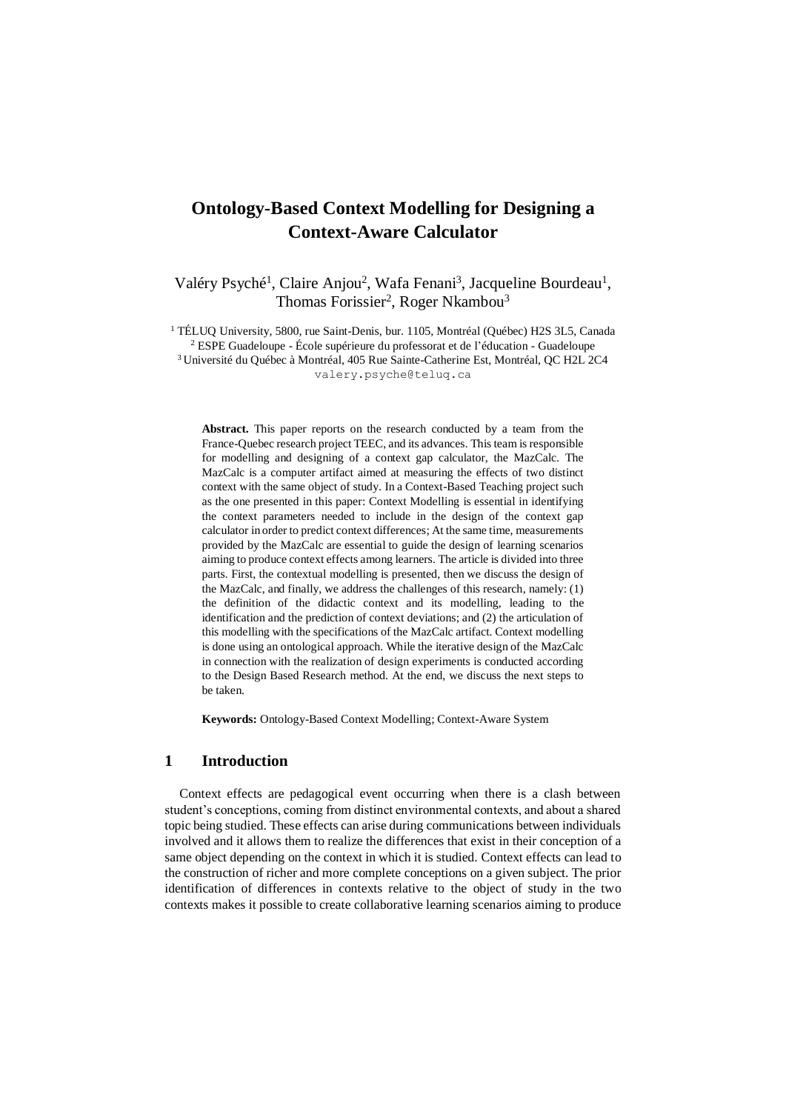# **Ontology-Based Context Modelling for Designing a Context-Aware Calculator**

Valéry Psyché<sup>1</sup>, Claire Anjou<sup>2</sup>, Wafa Fenani<sup>3</sup>, Jacqueline Bourdeau<sup>1</sup>, Thomas Forissier<sup>2</sup>, Roger Nkambou<sup>3</sup>

<sup>1</sup> TÉLUQ University, 5800, rue Saint-Denis, bur. 1105, Montréal (Québec) H2S 3L5, Canada <sup>2</sup> ESPE Guadeloupe - [École supérieure du professorat et de l'éducation -](https://hal.archives-ouvertes.fr/search/index/q/*/structId_i/253451/) Guadeloupe <sup>3</sup> Université du Québec à Montréal, 405 Rue Sainte-Catherine Est, Montréal, QC H2L 2C4 valery.psyche@teluq.ca

**Abstract.** This paper reports on the research conducted by a team from the France-Quebec research project TEEC, and its advances. This team is responsible for modelling and designing of a context gap calculator, the MazCalc. The MazCalc is a computer artifact aimed at measuring the effects of two distinct context with the same object of study. In a Context-Based Teaching project such as the one presented in this paper: Context Modelling is essential in identifying the context parameters needed to include in the design of the context gap calculator in order to predict context differences; At the same time, measurements provided by the MazCalc are essential to guide the design of learning scenarios aiming to produce context effects among learners. The article is divided into three parts. First, the contextual modelling is presented, then we discuss the design of the MazCalc, and finally, we address the challenges of this research, namely: (1) the definition of the didactic context and its modelling, leading to the identification and the prediction of context deviations; and (2) the articulation of this modelling with the specifications of the MazCalc artifact. Context modelling is done using an ontological approach. While the iterative design of the MazCalc in connection with the realization of design experiments is conducted according to the Design Based Research method. At the end, we discuss the next steps to be taken.

**Keywords:** Ontology-Based Context Modelling; Context-Aware System

## **1 Introduction**

Context effects are pedagogical event occurring when there is a clash between student's conceptions, coming from distinct environmental contexts, and about a shared topic being studied. These effects can arise during communications between individuals involved and it allows them to realize the differences that exist in their conception of a same object depending on the context in which it is studied. Context effects can lead to the construction of richer and more complete conceptions on a given subject. The prior identification of differences in contexts relative to the object of study in the two contexts makes it possible to create collaborative learning scenarios aiming to produce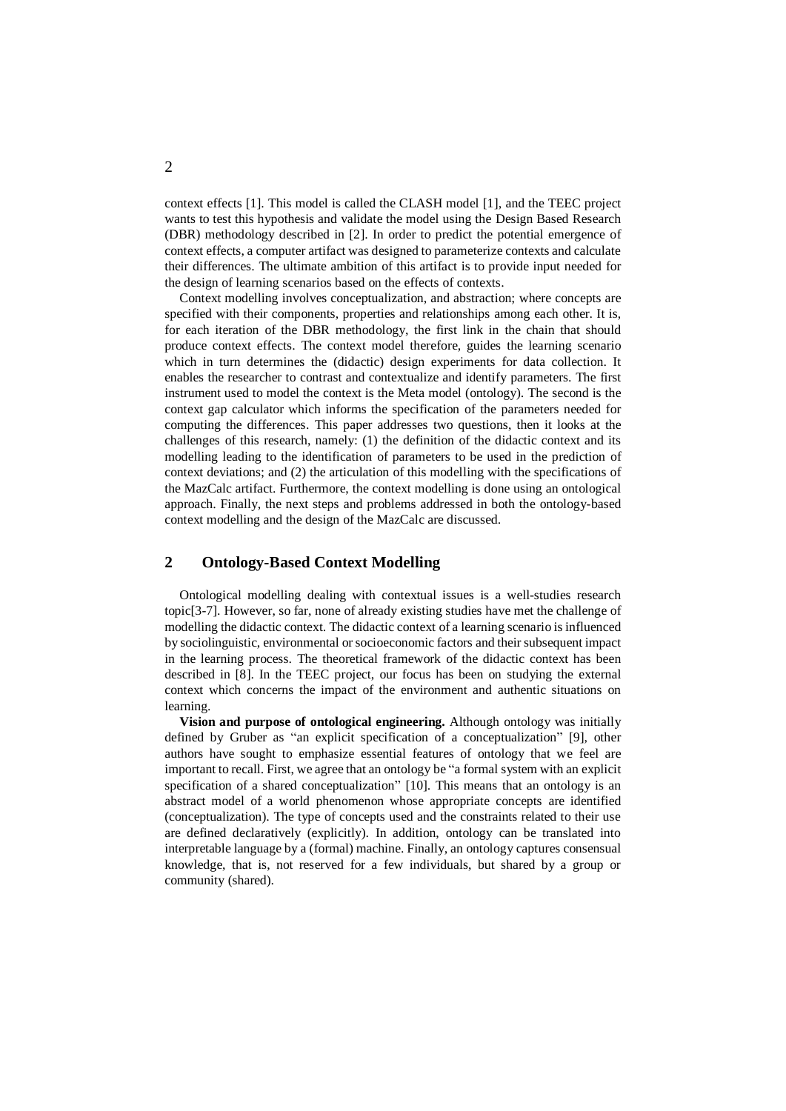context effects [1]. This model is called the CLASH model [1], and the TEEC project wants to test this hypothesis and validate the model using the Design Based Research (DBR) methodology described in [2]. In order to predict the potential emergence of context effects, a computer artifact was designed to parameterize contexts and calculate their differences. The ultimate ambition of this artifact is to provide input needed for the design of learning scenarios based on the effects of contexts.

Context modelling involves conceptualization, and abstraction; where concepts are specified with their components, properties and relationships among each other. It is, for each iteration of the DBR methodology, the first link in the chain that should produce context effects. The context model therefore, guides the learning scenario which in turn determines the (didactic) design experiments for data collection. It enables the researcher to contrast and contextualize and identify parameters. The first instrument used to model the context is the Meta model (ontology). The second is the context gap calculator which informs the specification of the parameters needed for computing the differences. This paper addresses two questions, then it looks at the challenges of this research, namely: (1) the definition of the didactic context and its modelling leading to the identification of parameters to be used in the prediction of context deviations; and (2) the articulation of this modelling with the specifications of the MazCalc artifact. Furthermore, the context modelling is done using an ontological approach. Finally, the next steps and problems addressed in both the ontology-based context modelling and the design of the MazCalc are discussed.

# **2 Ontology-Based Context Modelling**

Ontological modelling dealing with contextual issues is a well-studies research topic[3-7]. However, so far, none of already existing studies have met the challenge of modelling the didactic context. The didactic context of a learning scenario is influenced by sociolinguistic, environmental or socioeconomic factors and their subsequent impact in the learning process. The theoretical framework of the didactic context has been described in [8]. In the TEEC project, our focus has been on studying the external context which concerns the impact of the environment and authentic situations on learning.

**Vision and purpose of ontological engineering.** Although ontology was initially defined by Gruber as "an explicit specification of a conceptualization" [9], other authors have sought to emphasize essential features of ontology that we feel are important to recall. First, we agree that an ontology be "a formal system with an explicit specification of a shared conceptualization" [10]. This means that an ontology is an abstract model of a world phenomenon whose appropriate concepts are identified (conceptualization). The type of concepts used and the constraints related to their use are defined declaratively (explicitly). In addition, ontology can be translated into interpretable language by a (formal) machine. Finally, an ontology captures consensual knowledge, that is, not reserved for a few individuals, but shared by a group or community (shared).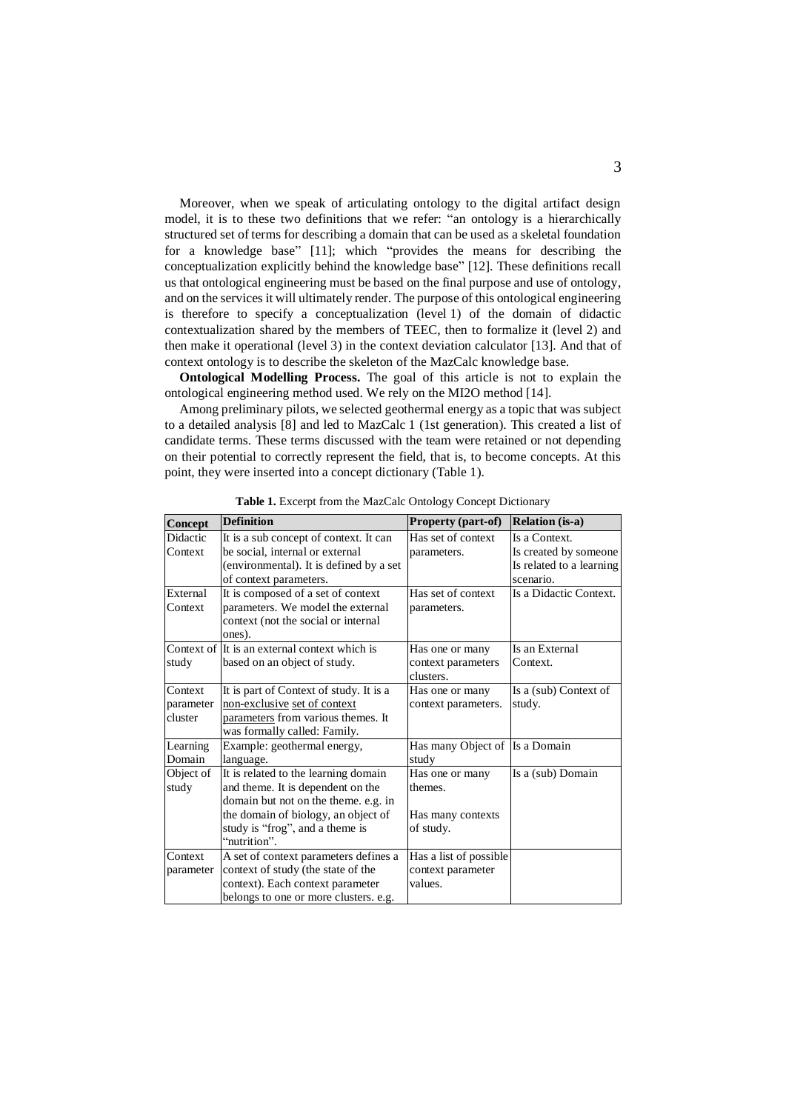Moreover, when we speak of articulating ontology to the digital artifact design model, it is to these two definitions that we refer: "an ontology is a hierarchically structured set of terms for describing a domain that can be used as a skeletal foundation for a knowledge base" [11]; which "provides the means for describing the conceptualization explicitly behind the knowledge base" [12]. These definitions recall us that ontological engineering must be based on the final purpose and use of ontology, and on the services it will ultimately render. The purpose of this ontological engineering is therefore to specify a conceptualization (level 1) of the domain of didactic contextualization shared by the members of TEEC, then to formalize it (level 2) and then make it operational (level 3) in the context deviation calculator [13]. And that of context ontology is to describe the skeleton of the MazCalc knowledge base.

**Ontological Modelling Process.** The goal of this article is not to explain the ontological engineering method used. We rely on the MI2O method [14].

Among preliminary pilots, we selected geothermal energy as a topic that was subject to a detailed analysis [8] and led to MazCalc 1 (1st generation). This created a list of candidate terms. These terms discussed with the team were retained or not depending on their potential to correctly represent the field, that is, to become concepts. At this point, they were inserted into a concept dictionary (Table 1).

| Concept   | <b>Definition</b>                             | Property (part-of)     | <b>Relation</b> (is-a)   |
|-----------|-----------------------------------------------|------------------------|--------------------------|
| Didactic  | It is a sub concept of context. It can        | Has set of context     | Is a Context.            |
| Context   | be social, internal or external               | parameters.            | Is created by someone    |
|           | (environmental). It is defined by a set       |                        | Is related to a learning |
|           | of context parameters.                        |                        | scenario.                |
| External  | It is composed of a set of context            | Has set of context     | Is a Didactic Context.   |
| Context   | parameters. We model the external             | parameters.            |                          |
|           | context (not the social or internal           |                        |                          |
|           | ones).                                        |                        |                          |
|           | Context of It is an external context which is | Has one or many        | Is an External           |
| study     | based on an object of study.                  | context parameters     | Context.                 |
|           |                                               | clusters.              |                          |
| Context   | It is part of Context of study. It is a       | Has one or many        | Is a (sub) Context of    |
| parameter | non-exclusive set of context                  | context parameters.    | study.                   |
| cluster   | parameters from various themes. It            |                        |                          |
|           | was formally called: Family.                  |                        |                          |
| Learning  | Example: geothermal energy,                   | Has many Object of     | Is a Domain              |
| Domain    | language.                                     | study                  |                          |
| Object of | It is related to the learning domain          | Has one or many        | Is a (sub) Domain        |
| study     | and theme. It is dependent on the             | themes.                |                          |
|           | domain but not on the theme. e.g. in          |                        |                          |
|           | the domain of biology, an object of           | Has many contexts      |                          |
|           | study is "frog", and a theme is               | of study.              |                          |
|           | "nutrition".                                  |                        |                          |
| Context   | A set of context parameters defines a         | Has a list of possible |                          |
| parameter | context of study (the state of the            | context parameter      |                          |
|           | context). Each context parameter              | values.                |                          |
|           | belongs to one or more clusters. e.g.         |                        |                          |

**Table 1.** Excerpt from the MazCalc Ontology Concept Dictionary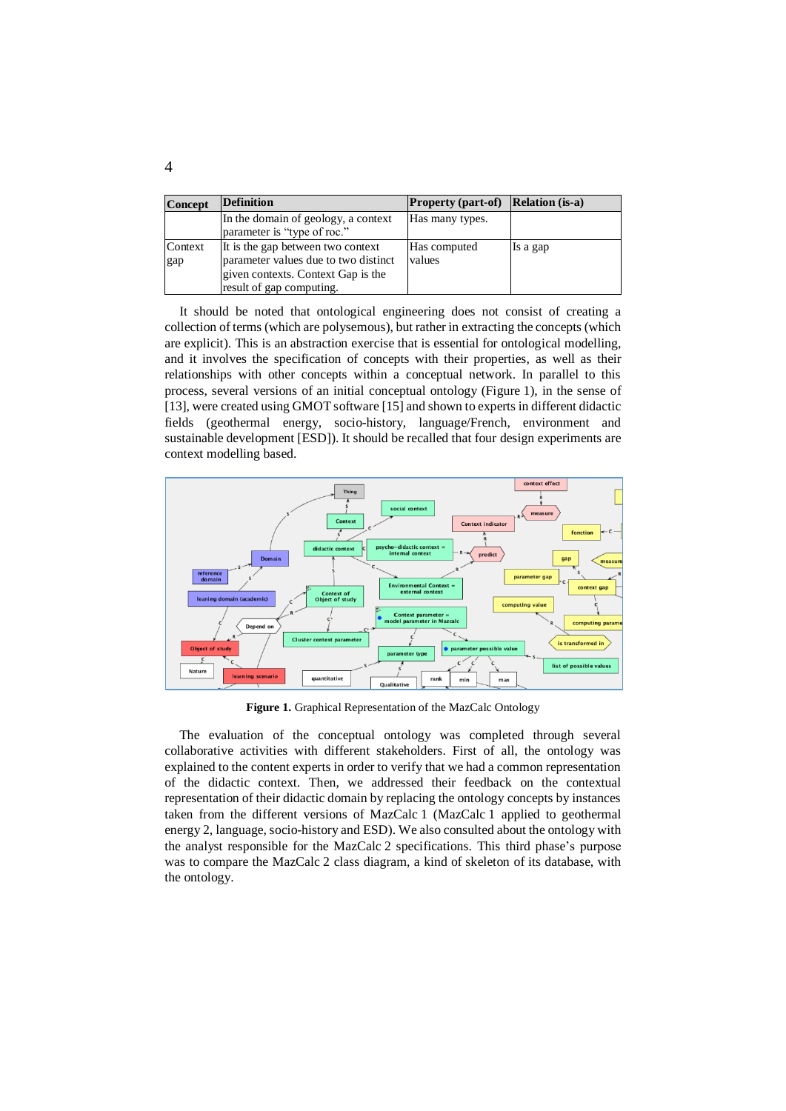| <b>Concept</b> | <b>Definition</b>                                                                                                                           | <b>Property (part-of)</b> Relation (is-a) |          |
|----------------|---------------------------------------------------------------------------------------------------------------------------------------------|-------------------------------------------|----------|
|                | In the domain of geology, a context<br>parameter is "type of roc."                                                                          | Has many types.                           |          |
| Context<br>gap | It is the gap between two context<br>parameter values due to two distinct<br>given contexts. Context Gap is the<br>result of gap computing. | Has computed<br>values                    | Is a gap |

It should be noted that ontological engineering does not consist of creating a collection of terms (which are polysemous), but rather in extracting the concepts (which are explicit). This is an abstraction exercise that is essential for ontological modelling, and it involves the specification of concepts with their properties, as well as their relationships with other concepts within a conceptual network. In parallel to this process, several versions of an initial conceptual ontology (Figure 1), in the sense of [13], were created using GMOT software [15] and shown to experts in different didactic fields (geothermal energy, socio-history, language/French, environment and sustainable development [ESD]). It should be recalled that four design experiments are context modelling based.



**Figure 1.** Graphical Representation of the MazCalc Ontology

The evaluation of the conceptual ontology was completed through several collaborative activities with different stakeholders. First of all, the ontology was explained to the content experts in order to verify that we had a common representation of the didactic context. Then, we addressed their feedback on the contextual representation of their didactic domain by replacing the ontology concepts by instances taken from the different versions of MazCalc 1 (MazCalc 1 applied to geothermal energy 2, language, socio-history and ESD). We also consulted about the ontology with the analyst responsible for the MazCalc 2 specifications. This third phase's purpose was to compare the MazCalc 2 class diagram, a kind of skeleton of its database, with the ontology.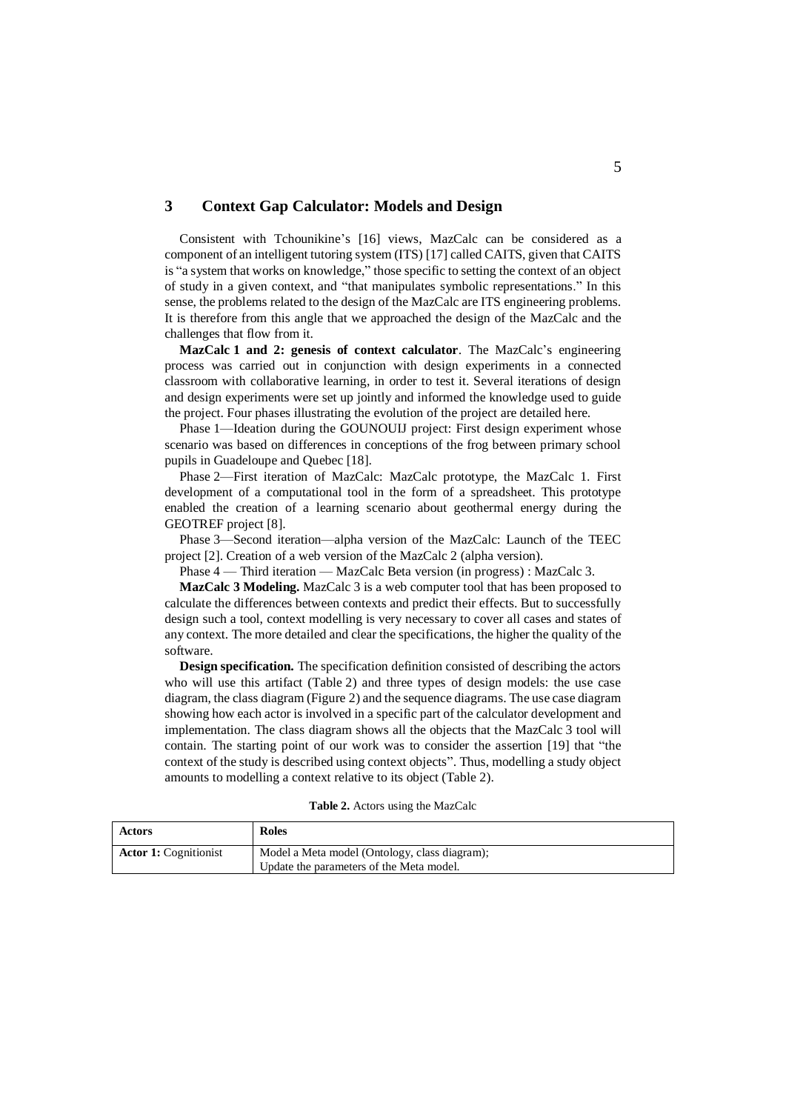# **3 Context Gap Calculator: Models and Design**

Consistent with Tchounikine's [16] views, MazCalc can be considered as a component of an intelligent tutoring system (ITS) [17] called CAITS, given that CAITS is "a system that works on knowledge," those specific to setting the context of an object of study in a given context, and "that manipulates symbolic representations." In this sense, the problems related to the design of the MazCalc are ITS engineering problems. It is therefore from this angle that we approached the design of the MazCalc and the challenges that flow from it.

**MazCalc 1 and 2: genesis of context calculator**. The MazCalc's engineering process was carried out in conjunction with design experiments in a connected classroom with collaborative learning, in order to test it. Several iterations of design and design experiments were set up jointly and informed the knowledge used to guide the project. Four phases illustrating the evolution of the project are detailed here.

Phase 1—Ideation during the GOUNOUIJ project: First design experiment whose scenario was based on differences in conceptions of the frog between primary school pupils in Guadeloupe and Quebec [18].

Phase 2—First iteration of MazCalc: MazCalc prototype, the MazCalc 1. First development of a computational tool in the form of a spreadsheet. This prototype enabled the creation of a learning scenario about geothermal energy during the GEOTREF project [8].

Phase 3—Second iteration—alpha version of the MazCalc: Launch of the TEEC project [2]. Creation of a web version of the MazCalc 2 (alpha version).

Phase 4 — Third iteration — MazCalc Beta version (in progress) : MazCalc 3.

**MazCalc 3 Modeling.** MazCalc 3 is a web computer tool that has been proposed to calculate the differences between contexts and predict their effects. But to successfully design such a tool, context modelling is very necessary to cover all cases and states of any context. The more detailed and clear the specifications, the higher the quality of the software.

**Design specification.** The specification definition consisted of describing the actors who will use this artifact (Table 2) and three types of design models: the use case diagram, the class diagram (Figure 2) and the sequence diagrams. The use case diagram showing how each actor is involved in a specific part of the calculator development and implementation. The class diagram shows all the objects that the MazCalc 3 tool will contain. The starting point of our work was to consider the assertion [19] that "the context of the study is described using context objects". Thus, modelling a study object amounts to modelling a context relative to its object (Table 2).

| <b>Table 2.</b> Actors using the MazCalc |  |  |  |
|------------------------------------------|--|--|--|
|------------------------------------------|--|--|--|

| <b>Actors</b>                | <b>Roles</b>                                  |
|------------------------------|-----------------------------------------------|
| <b>Actor 1:</b> Cognitionist | Model a Meta model (Ontology, class diagram); |
|                              | Update the parameters of the Meta model.      |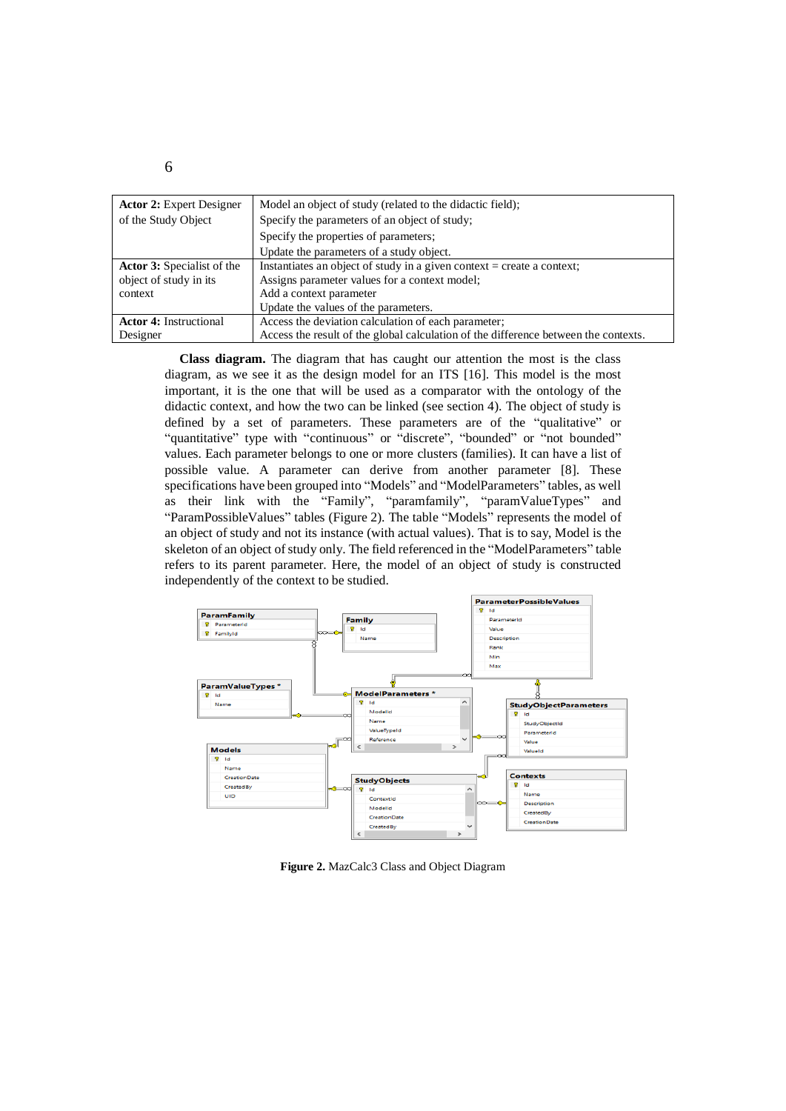| <b>Actor 2:</b> Expert Designer   | Model an object of study (related to the didactic field);                           |
|-----------------------------------|-------------------------------------------------------------------------------------|
| of the Study Object               | Specify the parameters of an object of study;                                       |
|                                   | Specify the properties of parameters;                                               |
|                                   | Update the parameters of a study object.                                            |
| <b>Actor 3:</b> Specialist of the | Instantiates an object of study in a given context = create a context;              |
| object of study in its            | Assigns parameter values for a context model;                                       |
| context                           | Add a context parameter                                                             |
|                                   | Update the values of the parameters.                                                |
| <b>Actor 4: Instructional</b>     | Access the deviation calculation of each parameter;                                 |
| Designer                          | Access the result of the global calculation of the difference between the contexts. |

**Class diagram.** The diagram that has caught our attention the most is the class diagram, as we see it as the design model for an ITS [16]. This model is the most important, it is the one that will be used as a comparator with the ontology of the didactic context, and how the two can be linked (see section 4). The object of study is defined by a set of parameters. These parameters are of the "qualitative" or "quantitative" type with "continuous" or "discrete", "bounded" or "not bounded" values. Each parameter belongs to one or more clusters (families). It can have a list of possible value. A parameter can derive from another parameter [8]. These specifications have been grouped into "Models" and "ModelParameters" tables, as well as their link with the "Family", "paramfamily", "paramValueTypes" and "ParamPossibleValues" tables (Figure 2). The table "Models" represents the model of an object of study and not its instance (with actual values). That is to say, Model is the skeleton of an object of study only. The field referenced in the "ModelParameters" table refers to its parent parameter. Here, the model of an object of study is constructed independently of the context to be studied.



**Figure 2.** MazCalc3 Class and Object Diagram

6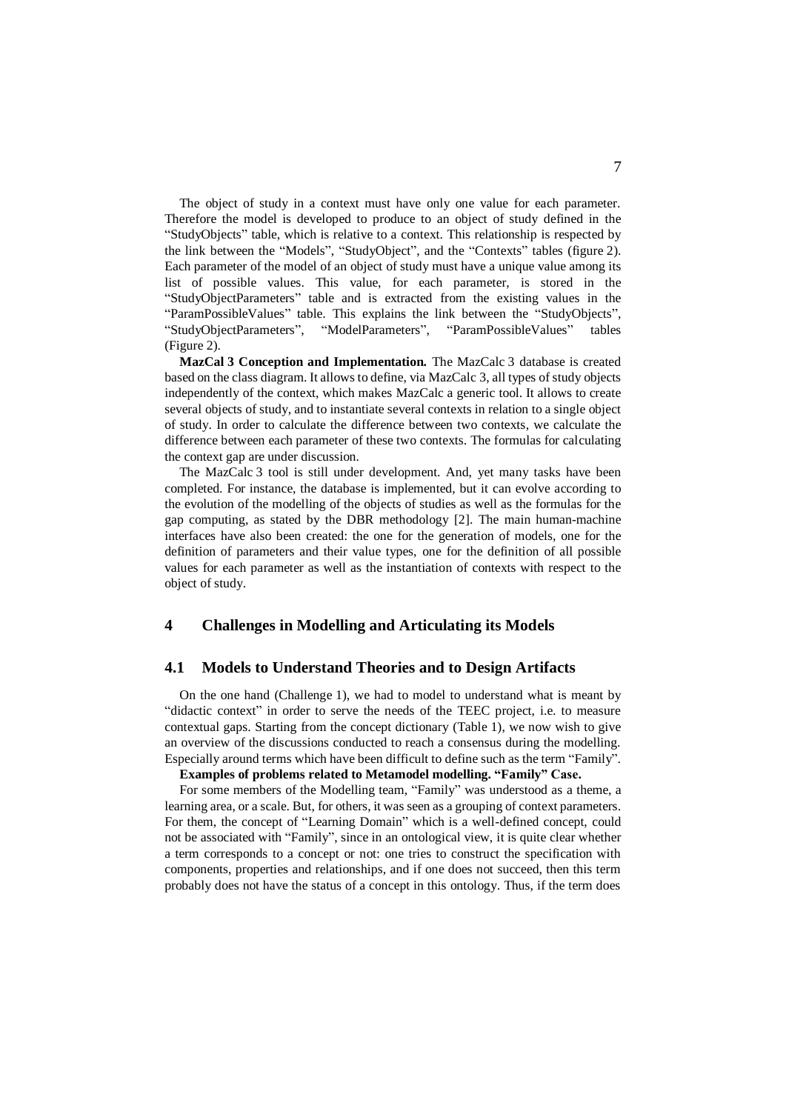The object of study in a context must have only one value for each parameter. Therefore the model is developed to produce to an object of study defined in the "StudyObjects" table, which is relative to a context. This relationship is respected by the link between the "Models", "StudyObject", and the "Contexts" tables (figure 2). Each parameter of the model of an object of study must have a unique value among its list of possible values. This value, for each parameter, is stored in the "StudyObjectParameters" table and is extracted from the existing values in the "ParamPossibleValues" table. This explains the link between the "StudyObjects", "StudyObjectParameters", "ModelParameters", "ParamPossibleValues" tables (Figure 2).

**MazCal 3 Conception and Implementation.** The MazCalc 3 database is created based on the class diagram. It allows to define, via MazCalc 3, all types of study objects independently of the context, which makes MazCalc a generic tool. It allows to create several objects of study, and to instantiate several contexts in relation to a single object of study. In order to calculate the difference between two contexts, we calculate the difference between each parameter of these two contexts. The formulas for calculating the context gap are under discussion.

The MazCalc 3 tool is still under development. And, yet many tasks have been completed. For instance, the database is implemented, but it can evolve according to the evolution of the modelling of the objects of studies as well as the formulas for the gap computing, as stated by the DBR methodology [2]. The main human-machine interfaces have also been created: the one for the generation of models, one for the definition of parameters and their value types, one for the definition of all possible values for each parameter as well as the instantiation of contexts with respect to the object of study.

#### **4 Challenges in Modelling and Articulating its Models**

#### **4.1 Models to Understand Theories and to Design Artifacts**

On the one hand (Challenge 1), we had to model to understand what is meant by "didactic context" in order to serve the needs of the TEEC project, i.e. to measure contextual gaps. Starting from the concept dictionary (Table 1), we now wish to give an overview of the discussions conducted to reach a consensus during the modelling. Especially around terms which have been difficult to define such as the term "Family".

## **Examples of problems related to Metamodel modelling. "Family" Case.**

For some members of the Modelling team, "Family" was understood as a theme, a learning area, or a scale. But, for others, it was seen as a grouping of context parameters. For them, the concept of "Learning Domain" which is a well-defined concept, could not be associated with "Family", since in an ontological view, it is quite clear whether a term corresponds to a concept or not: one tries to construct the specification with components, properties and relationships, and if one does not succeed, then this term probably does not have the status of a concept in this ontology. Thus, if the term does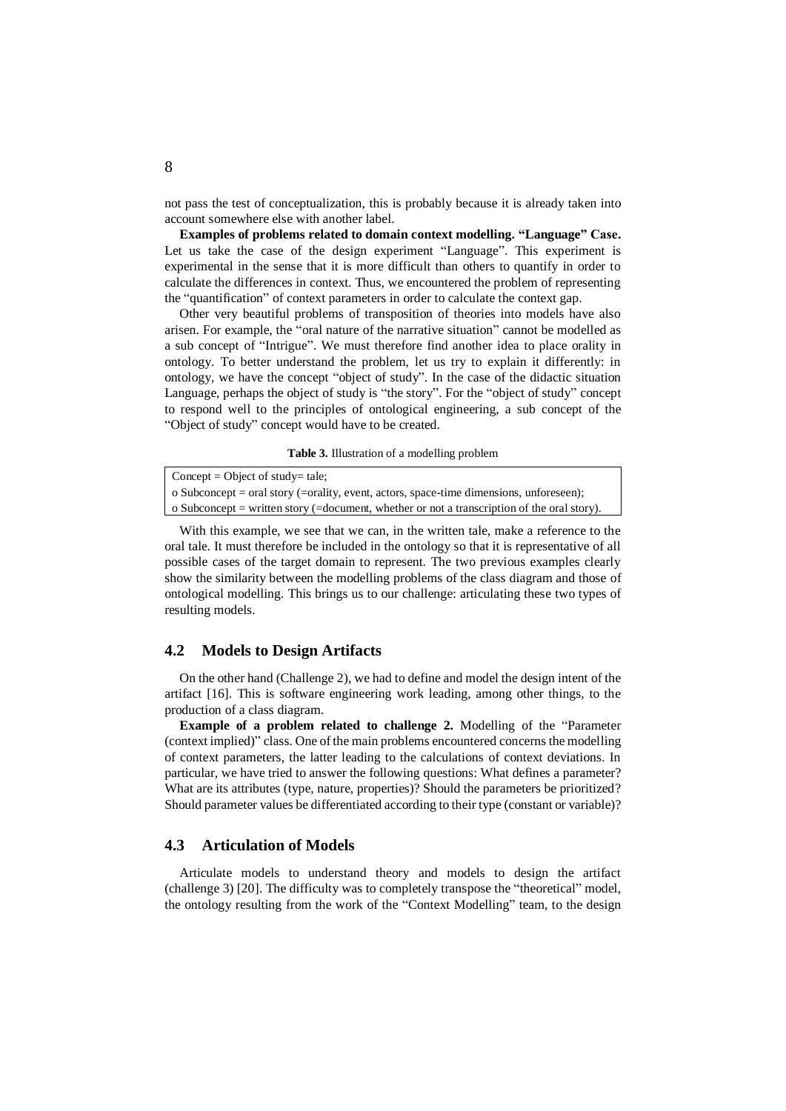not pass the test of conceptualization, this is probably because it is already taken into account somewhere else with another label.

**Examples of problems related to domain context modelling. "Language" Case.** Let us take the case of the design experiment "Language". This experiment is experimental in the sense that it is more difficult than others to quantify in order to calculate the differences in context. Thus, we encountered the problem of representing the "quantification" of context parameters in order to calculate the context gap.

Other very beautiful problems of transposition of theories into models have also arisen. For example, the "oral nature of the narrative situation" cannot be modelled as a sub concept of "Intrigue". We must therefore find another idea to place orality in ontology. To better understand the problem, let us try to explain it differently: in ontology, we have the concept "object of study". In the case of the didactic situation Language, perhaps the object of study is "the story". For the "object of study" concept to respond well to the principles of ontological engineering, a sub concept of the "Object of study" concept would have to be created.

**Table 3.** Illustration of a modelling problem

| $Concept = Object of study = tale;$                                                          |
|----------------------------------------------------------------------------------------------|
| o Subconcept = oral story (=orality, event, actors, space-time dimensions, unforeseen);      |
| o Subconcept = written story (= document, whether or not a transcription of the oral story). |

With this example, we see that we can, in the written tale, make a reference to the oral tale. It must therefore be included in the ontology so that it is representative of all possible cases of the target domain to represent. The two previous examples clearly show the similarity between the modelling problems of the class diagram and those of ontological modelling. This brings us to our challenge: articulating these two types of resulting models.

#### **4.2 Models to Design Artifacts**

On the other hand (Challenge 2), we had to define and model the design intent of the artifact [16]. This is software engineering work leading, among other things, to the production of a class diagram.

**Example of a problem related to challenge 2.** Modelling of the "Parameter (context implied)" class. One of the main problems encountered concerns the modelling of context parameters, the latter leading to the calculations of context deviations. In particular, we have tried to answer the following questions: What defines a parameter? What are its attributes (type, nature, properties)? Should the parameters be prioritized? Should parameter values be differentiated according to their type (constant or variable)?

### **4.3 Articulation of Models**

Articulate models to understand theory and models to design the artifact (challenge 3) [20]. The difficulty was to completely transpose the "theoretical" model, the ontology resulting from the work of the "Context Modelling" team, to the design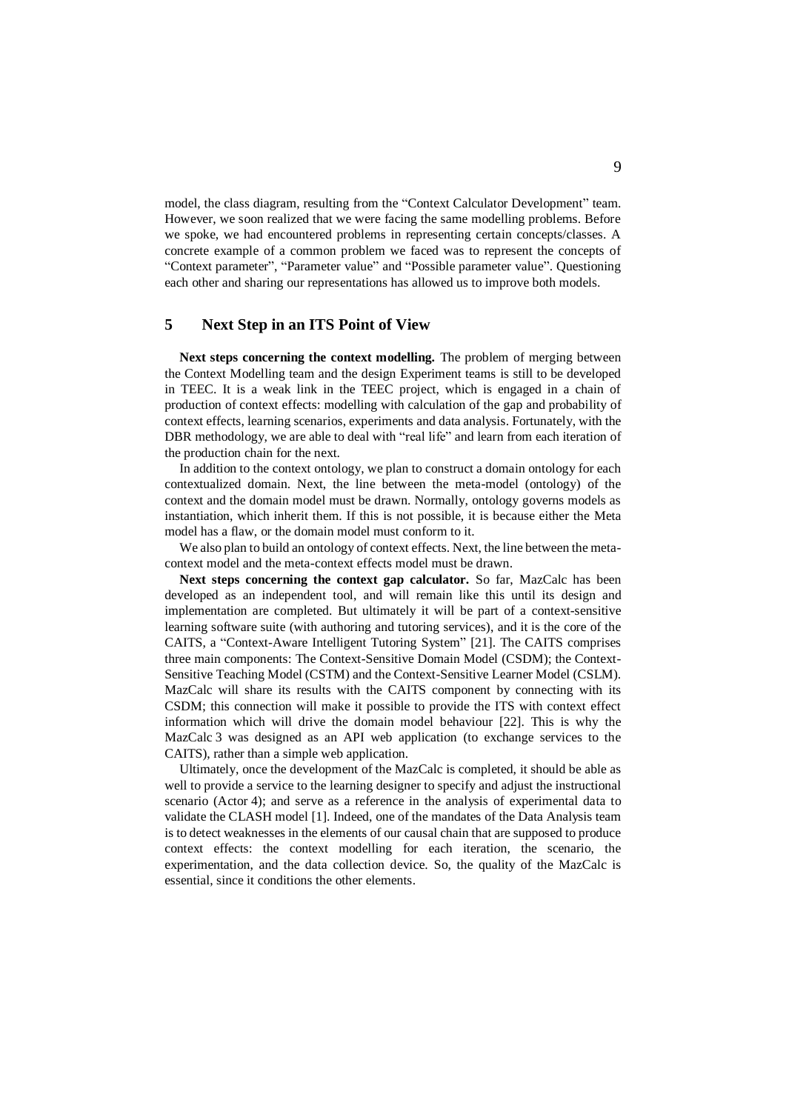model, the class diagram, resulting from the "Context Calculator Development" team. However, we soon realized that we were facing the same modelling problems. Before we spoke, we had encountered problems in representing certain concepts/classes. A concrete example of a common problem we faced was to represent the concepts of "Context parameter", "Parameter value" and "Possible parameter value". Questioning each other and sharing our representations has allowed us to improve both models.

# **5 Next Step in an ITS Point of View**

**Next steps concerning the context modelling.** The problem of merging between the Context Modelling team and the design Experiment teams is still to be developed in TEEC. It is a weak link in the TEEC project, which is engaged in a chain of production of context effects: modelling with calculation of the gap and probability of context effects, learning scenarios, experiments and data analysis. Fortunately, with the DBR methodology, we are able to deal with "real life" and learn from each iteration of the production chain for the next.

In addition to the context ontology, we plan to construct a domain ontology for each contextualized domain. Next, the line between the meta-model (ontology) of the context and the domain model must be drawn. Normally, ontology governs models as instantiation, which inherit them. If this is not possible, it is because either the Meta model has a flaw, or the domain model must conform to it.

We also plan to build an ontology of context effects. Next, the line between the metacontext model and the meta-context effects model must be drawn.

**Next steps concerning the context gap calculator.** So far, MazCalc has been developed as an independent tool, and will remain like this until its design and implementation are completed. But ultimately it will be part of a context-sensitive learning software suite (with authoring and tutoring services), and it is the core of the CAITS, a "Context-Aware Intelligent Tutoring System" [21]. The CAITS comprises three main components: The Context-Sensitive Domain Model (CSDM); the Context-Sensitive Teaching Model (CSTM) and the Context-Sensitive Learner Model (CSLM). MazCalc will share its results with the CAITS component by connecting with its CSDM; this connection will make it possible to provide the ITS with context effect information which will drive the domain model behaviour [22]. This is why the MazCalc 3 was designed as an API web application (to exchange services to the CAITS), rather than a simple web application.

Ultimately, once the development of the MazCalc is completed, it should be able as well to provide a service to the learning designer to specify and adjust the instructional scenario (Actor 4); and serve as a reference in the analysis of experimental data to validate the CLASH model [1]. Indeed, one of the mandates of the Data Analysis team is to detect weaknesses in the elements of our causal chain that are supposed to produce context effects: the context modelling for each iteration, the scenario, the experimentation, and the data collection device. So, the quality of the MazCalc is essential, since it conditions the other elements.